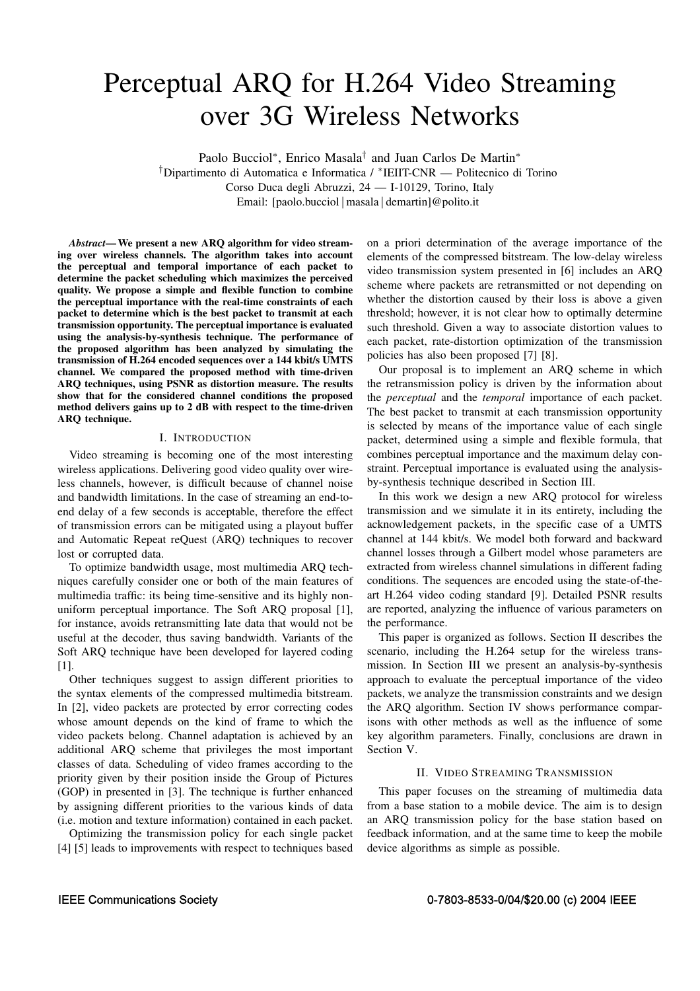# Perceptual ARQ for H.264 Video Streaming over 3G Wireless Networks

Paolo Bucciol<sup>∗</sup>, Enrico Masala<sup>†</sup> and Juan Carlos De Martin<sup>∗</sup> †Dipartimento di Automatica e Informatica / ∗IEIIT-CNR — Politecnico di Torino Corso Duca degli Abruzzi, 24 — I-10129, Torino, Italy Email: [paolo.bucciol | masala | demartin]@polito.it

*Abstract***— We present a new ARQ algorithm for video streaming over wireless channels. The algorithm takes into account the perceptual and temporal importance of each packet to determine the packet scheduling which maximizes the perceived quality. We propose a simple and flexible function to combine the perceptual importance with the real-time constraints of each packet to determine which is the best packet to transmit at each transmission opportunity. The perceptual importance is evaluated using the analysis-by-synthesis technique. The performance of the proposed algorithm has been analyzed by simulating the transmission of H.264 encoded sequences over a 144 kbit/s UMTS channel. We compared the proposed method with time-driven ARQ techniques, using PSNR as distortion measure. The results show that for the considered channel conditions the proposed method delivers gains up to 2 dB with respect to the time-driven ARQ technique.**

# I. INTRODUCTION

Video streaming is becoming one of the most interesting wireless applications. Delivering good video quality over wireless channels, however, is difficult because of channel noise and bandwidth limitations. In the case of streaming an end-toend delay of a few seconds is acceptable, therefore the effect of transmission errors can be mitigated using a playout buffer and Automatic Repeat reQuest (ARQ) techniques to recover lost or corrupted data.

To optimize bandwidth usage, most multimedia ARQ techniques carefully consider one or both of the main features of multimedia traffic: its being time-sensitive and its highly nonuniform perceptual importance. The Soft ARQ proposal [1], for instance, avoids retransmitting late data that would not be useful at the decoder, thus saving bandwidth. Variants of the Soft ARQ technique have been developed for layered coding [1].

Other techniques suggest to assign different priorities to the syntax elements of the compressed multimedia bitstream. In [2], video packets are protected by error correcting codes whose amount depends on the kind of frame to which the video packets belong. Channel adaptation is achieved by an additional ARQ scheme that privileges the most important classes of data. Scheduling of video frames according to the priority given by their position inside the Group of Pictures (GOP) in presented in [3]. The technique is further enhanced by assigning different priorities to the various kinds of data (i.e. motion and texture information) contained in each packet.

Optimizing the transmission policy for each single packet [4] [5] leads to improvements with respect to techniques based on a priori determination of the average importance of the elements of the compressed bitstream. The low-delay wireless video transmission system presented in [6] includes an ARQ scheme where packets are retransmitted or not depending on whether the distortion caused by their loss is above a given threshold; however, it is not clear how to optimally determine such threshold. Given a way to associate distortion values to each packet, rate-distortion optimization of the transmission policies has also been proposed [7] [8].

Our proposal is to implement an ARQ scheme in which the retransmission policy is driven by the information about the *perceptual* and the *temporal* importance of each packet. The best packet to transmit at each transmission opportunity is selected by means of the importance value of each single packet, determined using a simple and flexible formula, that combines perceptual importance and the maximum delay constraint. Perceptual importance is evaluated using the analysisby-synthesis technique described in Section III.

In this work we design a new ARQ protocol for wireless transmission and we simulate it in its entirety, including the acknowledgement packets, in the specific case of a UMTS channel at 144 kbit/s. We model both forward and backward channel losses through a Gilbert model whose parameters are extracted from wireless channel simulations in different fading conditions. The sequences are encoded using the state-of-theart H.264 video coding standard [9]. Detailed PSNR results are reported, analyzing the influence of various parameters on the performance.

This paper is organized as follows. Section II describes the scenario, including the H.264 setup for the wireless transmission. In Section III we present an analysis-by-synthesis approach to evaluate the perceptual importance of the video packets, we analyze the transmission constraints and we design the ARQ algorithm. Section IV shows performance comparisons with other methods as well as the influence of some key algorithm parameters. Finally, conclusions are drawn in Section V.

#### II. VIDEO STREAMING TRANSMISSION

This paper focuses on the streaming of multimedia data from a base station to a mobile device. The aim is to design an ARQ transmission policy for the base station based on feedback information, and at the same time to keep the mobile device algorithms as simple as possible.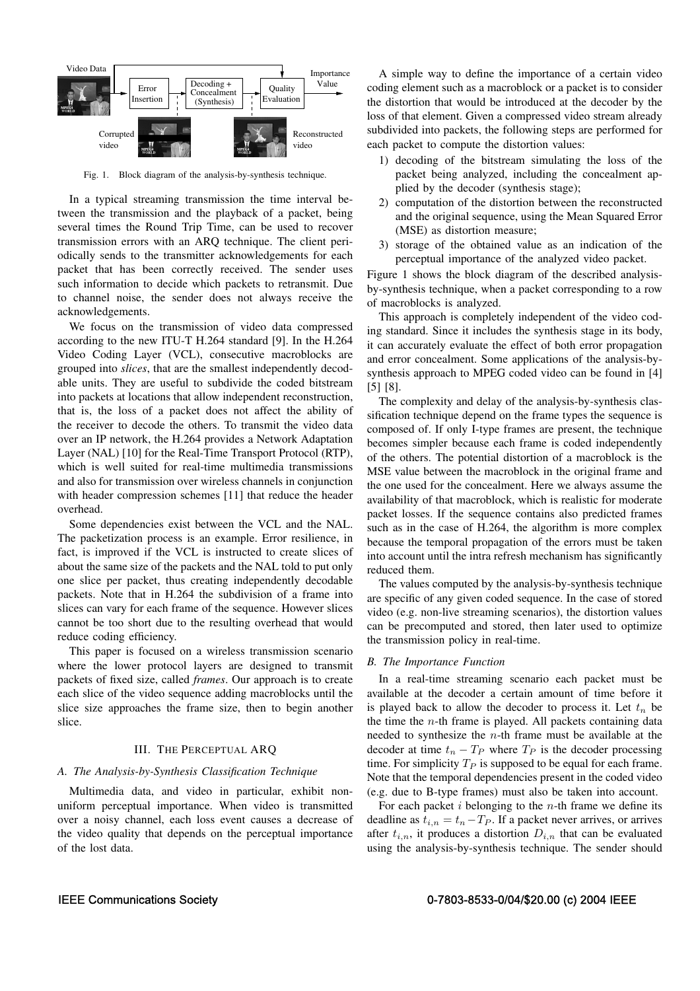

Fig. 1. Block diagram of the analysis-by-synthesis technique.

In a typical streaming transmission the time interval between the transmission and the playback of a packet, being several times the Round Trip Time, can be used to recover transmission errors with an ARQ technique. The client periodically sends to the transmitter acknowledgements for each packet that has been correctly received. The sender uses such information to decide which packets to retransmit. Due to channel noise, the sender does not always receive the acknowledgements.

We focus on the transmission of video data compressed according to the new ITU-T H.264 standard [9]. In the H.264 Video Coding Layer (VCL), consecutive macroblocks are grouped into *slices*, that are the smallest independently decodable units. They are useful to subdivide the coded bitstream into packets at locations that allow independent reconstruction, that is, the loss of a packet does not affect the ability of the receiver to decode the others. To transmit the video data over an IP network, the H.264 provides a Network Adaptation Layer (NAL) [10] for the Real-Time Transport Protocol (RTP), which is well suited for real-time multimedia transmissions and also for transmission over wireless channels in conjunction with header compression schemes [11] that reduce the header overhead.

Some dependencies exist between the VCL and the NAL. The packetization process is an example. Error resilience, in fact, is improved if the VCL is instructed to create slices of about the same size of the packets and the NAL told to put only one slice per packet, thus creating independently decodable packets. Note that in H.264 the subdivision of a frame into slices can vary for each frame of the sequence. However slices cannot be too short due to the resulting overhead that would reduce coding efficiency.

This paper is focused on a wireless transmission scenario where the lower protocol layers are designed to transmit packets of fixed size, called *frames*. Our approach is to create each slice of the video sequence adding macroblocks until the slice size approaches the frame size, then to begin another slice.

### III. THE PERCEPTUAL ARQ

## *A. The Analysis-by-Synthesis Classification Technique*

Multimedia data, and video in particular, exhibit nonuniform perceptual importance. When video is transmitted over a noisy channel, each loss event causes a decrease of the video quality that depends on the perceptual importance of the lost data.

A simple way to define the importance of a certain video coding element such as a macroblock or a packet is to consider the distortion that would be introduced at the decoder by the loss of that element. Given a compressed video stream already subdivided into packets, the following steps are performed for each packet to compute the distortion values:

- 1) decoding of the bitstream simulating the loss of the packet being analyzed, including the concealment applied by the decoder (synthesis stage);
- 2) computation of the distortion between the reconstructed and the original sequence, using the Mean Squared Error (MSE) as distortion measure;
- 3) storage of the obtained value as an indication of the perceptual importance of the analyzed video packet.

Figure 1 shows the block diagram of the described analysisby-synthesis technique, when a packet corresponding to a row of macroblocks is analyzed.

This approach is completely independent of the video coding standard. Since it includes the synthesis stage in its body, it can accurately evaluate the effect of both error propagation and error concealment. Some applications of the analysis-bysynthesis approach to MPEG coded video can be found in [4] [5] [8].

The complexity and delay of the analysis-by-synthesis classification technique depend on the frame types the sequence is composed of. If only I-type frames are present, the technique becomes simpler because each frame is coded independently of the others. The potential distortion of a macroblock is the MSE value between the macroblock in the original frame and the one used for the concealment. Here we always assume the availability of that macroblock, which is realistic for moderate packet losses. If the sequence contains also predicted frames such as in the case of H.264, the algorithm is more complex because the temporal propagation of the errors must be taken into account until the intra refresh mechanism has significantly reduced them.

The values computed by the analysis-by-synthesis technique are specific of any given coded sequence. In the case of stored video (e.g. non-live streaming scenarios), the distortion values can be precomputed and stored, then later used to optimize the transmission policy in real-time.

# *B. The Importance Function*

In a real-time streaming scenario each packet must be available at the decoder a certain amount of time before it is played back to allow the decoder to process it. Let  $t_n$  be the time the *n*-th frame is played. All packets containing data needed to synthesize the *n*-th frame must be available at the decoder at time  $t_n - T_P$  where  $T_P$  is the decoder processing time. For simplicity  $T_P$  is supposed to be equal for each frame. Note that the temporal dependencies present in the coded video (e.g. due to B-type frames) must also be taken into account.

For each packet *i* belonging to the *n*-th frame we define its deadline as  $t_{i,n} = t_n - T_P$ . If a packet never arrives, or arrives after  $t_{i,n}$ , it produces a distortion  $D_{i,n}$  that can be evaluated using the analysis-by-synthesis technique. The sender should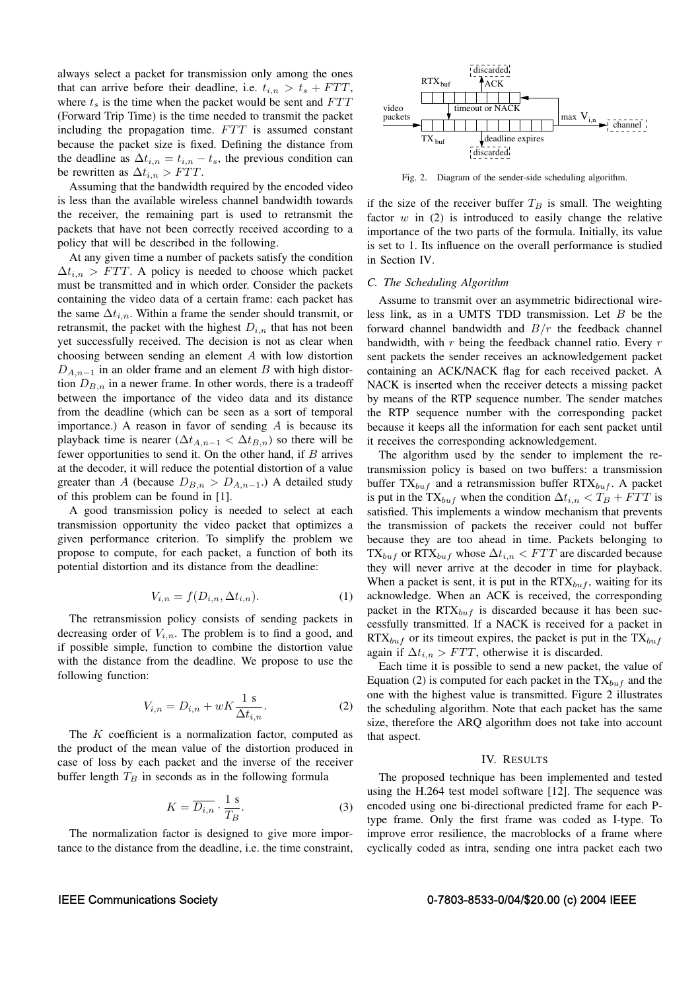always select a packet for transmission only among the ones that can arrive before their deadline, i.e.  $t_{i,n} > t_s + FTT$ , where *t<sup>s</sup>* is the time when the packet would be sent and *FTT* (Forward Trip Time) is the time needed to transmit the packet including the propagation time. *FTT* is assumed constant because the packet size is fixed. Defining the distance from the deadline as  $\Delta t_{i,n} = t_{i,n} - t_s$ , the previous condition can be rewritten as  $\Delta t_{i,n} > FTT$ .

Assuming that the bandwidth required by the encoded video is less than the available wireless channel bandwidth towards the receiver, the remaining part is used to retransmit the packets that have not been correctly received according to a policy that will be described in the following.

At any given time a number of packets satisfy the condition  $\Delta t_{i,n} > FTT$ . A policy is needed to choose which packet must be transmitted and in which order. Consider the packets containing the video data of a certain frame: each packet has the same  $\Delta t$ <sub>*i,n*</sub>. Within a frame the sender should transmit, or retransmit, the packet with the highest  $D_{i,n}$  that has not been yet successfully received. The decision is not as clear when choosing between sending an element *A* with low distortion *D*<sub>*A,n*−1</sub> in an older frame and an element *B* with high distortion  $D_{B,n}$  in a newer frame. In other words, there is a tradeoff between the importance of the video data and its distance from the deadline (which can be seen as a sort of temporal importance.) A reason in favor of sending *A* is because its playback time is nearer  $(\Delta t_{A,n-1} < \Delta t_{B,n})$  so there will be fewer opportunities to send it. On the other hand, if *B* arrives at the decoder, it will reduce the potential distortion of a value greater than *A* (because  $D_{B,n} > D_{A,n-1}$ .) A detailed study of this problem can be found in [1].

A good transmission policy is needed to select at each transmission opportunity the video packet that optimizes a given performance criterion. To simplify the problem we propose to compute, for each packet, a function of both its potential distortion and its distance from the deadline:

$$
V_{i,n} = f(D_{i,n}, \Delta t_{i,n}).\tag{1}
$$

The retransmission policy consists of sending packets in decreasing order of *Vi,n*. The problem is to find a good, and if possible simple, function to combine the distortion value with the distance from the deadline. We propose to use the following function:

$$
V_{i,n} = D_{i,n} + wK \frac{1 \text{ s}}{\Delta t_{i,n}}.
$$
 (2)

The *K* coefficient is a normalization factor, computed as the product of the mean value of the distortion produced in case of loss by each packet and the inverse of the receiver buffer length *T<sup>B</sup>* in seconds as in the following formula

$$
K = \overline{D_{i,n}} \cdot \frac{1 \text{ s}}{T_B}.\tag{3}
$$

The normalization factor is designed to give more importance to the distance from the deadline, i.e. the time constraint,



Fig. 2. Diagram of the sender-side scheduling algorithm.

if the size of the receiver buffer  $T_B$  is small. The weighting factor *w* in (2) is introduced to easily change the relative importance of the two parts of the formula. Initially, its value is set to 1. Its influence on the overall performance is studied in Section IV.

#### *C. The Scheduling Algorithm*

Assume to transmit over an asymmetric bidirectional wireless link, as in a UMTS TDD transmission. Let *B* be the forward channel bandwidth and *B/r* the feedback channel bandwidth, with *r* being the feedback channel ratio. Every *r* sent packets the sender receives an acknowledgement packet containing an ACK/NACK flag for each received packet. A NACK is inserted when the receiver detects a missing packet by means of the RTP sequence number. The sender matches the RTP sequence number with the corresponding packet because it keeps all the information for each sent packet until it receives the corresponding acknowledgement.

The algorithm used by the sender to implement the retransmission policy is based on two buffers: a transmission buffer TX*buf* and a retransmission buffer RTX*buf* . A packet is put in the TX<sub>*buf*</sub> when the condition  $\Delta t_{i,n} < T_B + FTT$  is satisfied. This implements a window mechanism that prevents the transmission of packets the receiver could not buffer because they are too ahead in time. Packets belonging to  $TX_{buf}$  or  $RTX_{buf}$  whose  $\Delta t_{i,n}$  *< FTT* are discarded because they will never arrive at the decoder in time for playback. When a packet is sent, it is put in the  $RTX_{buf}$ , waiting for its acknowledge. When an ACK is received, the corresponding packet in the  $RTX_{buf}$  is discarded because it has been successfully transmitted. If a NACK is received for a packet in  $RTX_{buf}$  or its timeout expires, the packet is put in the  $TX_{buf}$ again if  $\Delta t_{i,n} > FTT$ , otherwise it is discarded.

Each time it is possible to send a new packet, the value of Equation (2) is computed for each packet in the  $TX_{buf}$  and the one with the highest value is transmitted. Figure 2 illustrates the scheduling algorithm. Note that each packet has the same size, therefore the ARQ algorithm does not take into account that aspect.

# IV. RESULTS

The proposed technique has been implemented and tested using the H.264 test model software [12]. The sequence was encoded using one bi-directional predicted frame for each Ptype frame. Only the first frame was coded as I-type. To improve error resilience, the macroblocks of a frame where cyclically coded as intra, sending one intra packet each two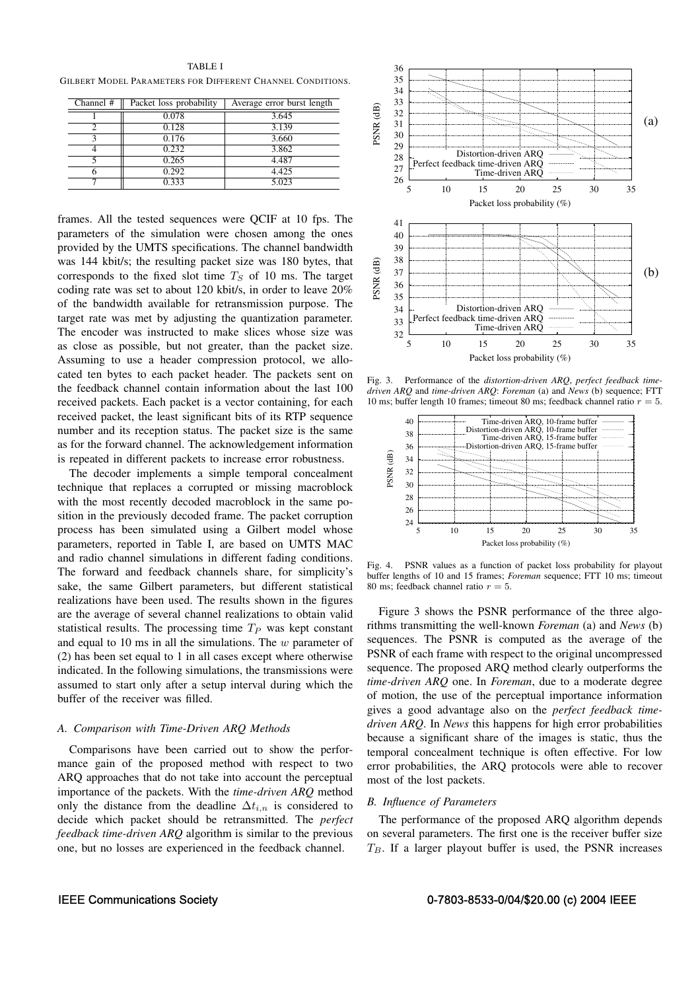TABLE I

GILBERT MODEL PARAMETERS FOR DIFFERENT CHANNEL CONDITIONS.

| Channel # | Packet loss probability | Average error burst length |
|-----------|-------------------------|----------------------------|
|           | 0.078                   | 3.645                      |
|           | 0.128                   | 3.139                      |
|           | 0.176                   | 3.660                      |
|           | 0.232                   | 3.862                      |
|           | 0.265                   | 4.487                      |
|           | 0.292                   | 4.425                      |
|           | 0.333                   | 5.023                      |

frames. All the tested sequences were QCIF at 10 fps. The parameters of the simulation were chosen among the ones provided by the UMTS specifications. The channel bandwidth was 144 kbit/s; the resulting packet size was 180 bytes, that corresponds to the fixed slot time  $T<sub>S</sub>$  of 10 ms. The target coding rate was set to about 120 kbit/s, in order to leave 20% of the bandwidth available for retransmission purpose. The target rate was met by adjusting the quantization parameter. The encoder was instructed to make slices whose size was as close as possible, but not greater, than the packet size. Assuming to use a header compression protocol, we allocated ten bytes to each packet header. The packets sent on the feedback channel contain information about the last 100 received packets. Each packet is a vector containing, for each received packet, the least significant bits of its RTP sequence number and its reception status. The packet size is the same as for the forward channel. The acknowledgement information is repeated in different packets to increase error robustness.

The decoder implements a simple temporal concealment technique that replaces a corrupted or missing macroblock with the most recently decoded macroblock in the same position in the previously decoded frame. The packet corruption process has been simulated using a Gilbert model whose parameters, reported in Table I, are based on UMTS MAC and radio channel simulations in different fading conditions. The forward and feedback channels share, for simplicity's sake, the same Gilbert parameters, but different statistical realizations have been used. The results shown in the figures are the average of several channel realizations to obtain valid statistical results. The processing time *T<sup>P</sup>* was kept constant and equal to 10 ms in all the simulations. The *w* parameter of (2) has been set equal to 1 in all cases except where otherwise indicated. In the following simulations, the transmissions were assumed to start only after a setup interval during which the buffer of the receiver was filled.

#### *A. Comparison with Time-Driven ARQ Methods*

Comparisons have been carried out to show the performance gain of the proposed method with respect to two ARQ approaches that do not take into account the perceptual importance of the packets. With the *time-driven ARQ* method only the distance from the deadline  $\Delta t_{i,n}$  is considered to decide which packet should be retransmitted. The *perfect feedback time-driven ARQ* algorithm is similar to the previous one, but no losses are experienced in the feedback channel.



Fig. 3. Performance of the *distortion-driven ARQ*, *perfect feedback timedriven ARQ* and *time-driven ARQ*: *Foreman* (a) and *News* (b) sequence; FTT 10 ms; buffer length 10 frames; timeout 80 ms; feedback channel ratio *r* = 5.



Fig. 4. PSNR values as a function of packet loss probability for playout buffer lengths of 10 and 15 frames; *Foreman* sequence; FTT 10 ms; timeout 80 ms; feedback channel ratio  $r = 5$ .

Figure 3 shows the PSNR performance of the three algorithms transmitting the well-known *Foreman* (a) and *News* (b) sequences. The PSNR is computed as the average of the PSNR of each frame with respect to the original uncompressed sequence. The proposed ARQ method clearly outperforms the *time-driven ARQ* one. In *Foreman*, due to a moderate degree of motion, the use of the perceptual importance information gives a good advantage also on the *perfect feedback timedriven ARQ*. In *News* this happens for high error probabilities because a significant share of the images is static, thus the temporal concealment technique is often effective. For low error probabilities, the ARQ protocols were able to recover most of the lost packets.

# *B. Influence of Parameters*

The performance of the proposed ARQ algorithm depends on several parameters. The first one is the receiver buffer size *TB*. If a larger playout buffer is used, the PSNR increases